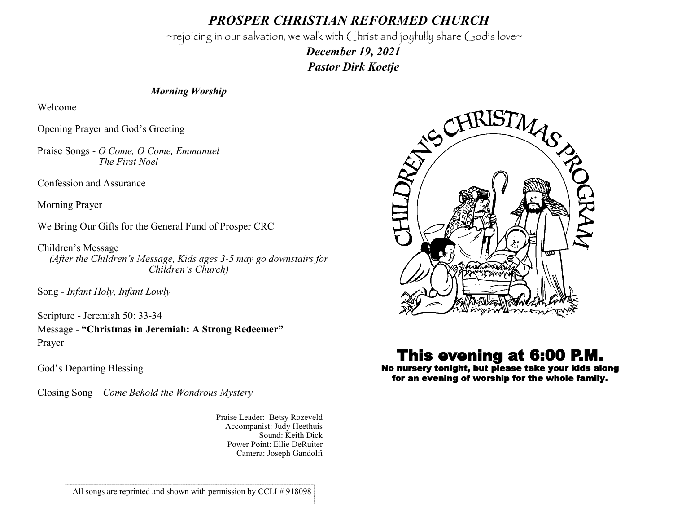*PROSPER CHRISTIAN REFORMED CHURCH*

~rejoicing in our salvation, we walk with Christ and joyfully share God's love~

 *December 19, 2021 Pastor Dirk Koetje* 

## *Morning Worship*

Welcome

Opening Prayer and God's Greeting

Praise Songs - *O Come, O Come, Emmanuel The First Noel*

Confession and Assurance

Morning Prayer

We Bring Our Gifts for the General Fund of Prosper CRC

Children's Message *(After the Children's Message, Kids ages 3-5 may go downstairs for Children's Church)*

Song - *Infant Holy, Infant Lowly*

Scripture - Jeremiah 50: 33-34 Message - **"Christmas in Jeremiah: A Strong Redeemer"** Prayer

God's Departing Blessing

Closing Song – *Come Behold the Wondrous Mystery*

Praise Leader: Betsy Rozeveld Accompanist: Judy Heethuis Sound: Keith Dick Power Point: Ellie DeRuiter Camera: Joseph Gandolfi



## This evening at 6:00 P.M.

No nursery tonight, but please take your kids along for an evening of worship for the whole family.

All songs are reprinted and shown with permission by CCLI # 918098